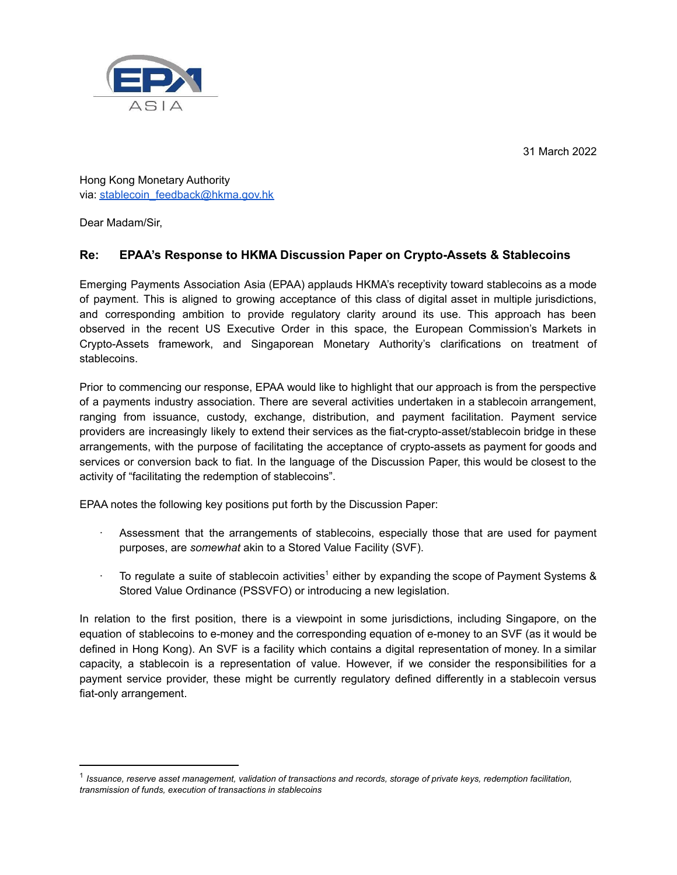31 March 2022



Hong Kong Monetary Authority via: [stablecoin\\_feedback@hkma.gov.hk](mailto:stablecoin_feedback@hkma.gov.hk)

Dear Madam/Sir,

# **Re: EPAA's Response to HKMA Discussion Paper on Crypto-Assets & Stablecoins**

Emerging Payments Association Asia (EPAA) applauds HKMA's receptivity toward stablecoins as a mode of payment. This is aligned to growing acceptance of this class of digital asset in multiple jurisdictions, and corresponding ambition to provide regulatory clarity around its use. This approach has been observed in the recent US Executive Order in this space, the European Commission's Markets in Crypto-Assets framework, and Singaporean Monetary Authority's clarifications on treatment of stablecoins.

Prior to commencing our response, EPAA would like to highlight that our approach is from the perspective of a payments industry association. There are several activities undertaken in a stablecoin arrangement, ranging from issuance, custody, exchange, distribution, and payment facilitation. Payment service providers are increasingly likely to extend their services as the fiat-crypto-asset/stablecoin bridge in these arrangements, with the purpose of facilitating the acceptance of crypto-assets as payment for goods and services or conversion back to fiat. In the language of the Discussion Paper, this would be closest to the activity of "facilitating the redemption of stablecoins".

EPAA notes the following key positions put forth by the Discussion Paper:

- Assessment that the arrangements of stablecoins, especially those that are used for payment purposes, are *somewhat* akin to a Stored Value Facility (SVF).
- $\cdot$  To regulate a suite of stablecoin activities<sup>1</sup> either by expanding the scope of Payment Systems & Stored Value Ordinance (PSSVFO) or introducing a new legislation.

In relation to the first position, there is a viewpoint in some jurisdictions, including Singapore, on the equation of stablecoins to e-money and the corresponding equation of e-money to an SVF (as it would be defined in Hong Kong). An SVF is a facility which contains a digital representation of money. In a similar capacity, a stablecoin is a representation of value. However, if we consider the responsibilities for a payment service provider, these might be currently regulatory defined differently in a stablecoin versus fiat-only arrangement.

 $^1$  Issuance, reserve asset management, validation of transactions and records, storage of private keys, redemption facilitation, *transmission of funds, execution of transactions in stablecoins*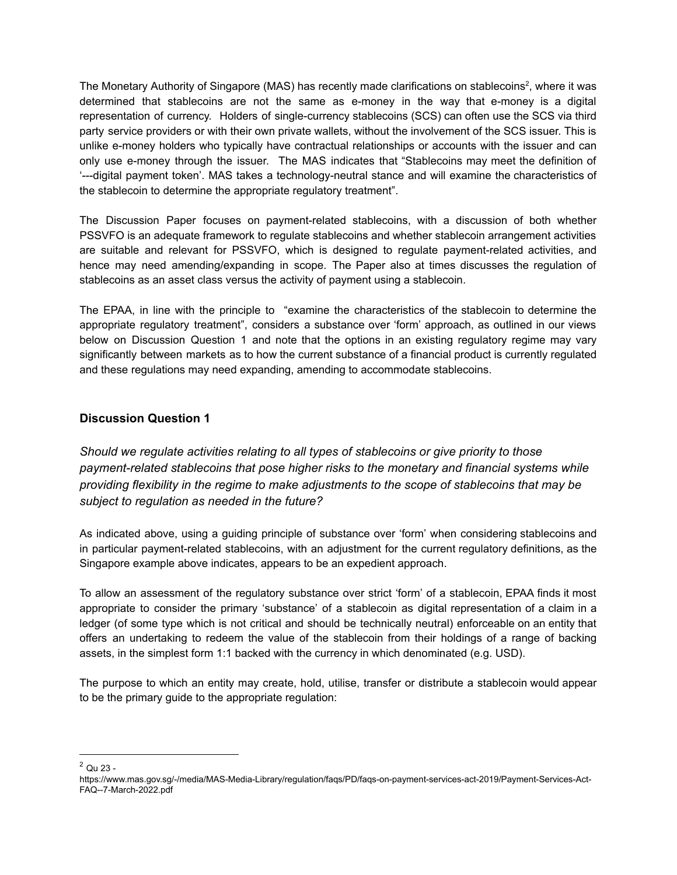The Monetary Authority of Singapore (MAS) has recently made clarifications on stablecoins<sup>2</sup>, where it was determined that stablecoins are not the same as e-money in the way that e-money is a digital representation of currency. Holders of single-currency stablecoins (SCS) can often use the SCS via third party service providers or with their own private wallets, without the involvement of the SCS issuer. This is unlike e-money holders who typically have contractual relationships or accounts with the issuer and can only use e-money through the issuer. The MAS indicates that "Stablecoins may meet the definition of '---digital payment token'. MAS takes a technology-neutral stance and will examine the characteristics of the stablecoin to determine the appropriate regulatory treatment".

The Discussion Paper focuses on payment-related stablecoins, with a discussion of both whether PSSVFO is an adequate framework to regulate stablecoins and whether stablecoin arrangement activities are suitable and relevant for PSSVFO, which is designed to regulate payment-related activities, and hence may need amending/expanding in scope. The Paper also at times discusses the regulation of stablecoins as an asset class versus the activity of payment using a stablecoin.

The EPAA, in line with the principle to "examine the characteristics of the stablecoin to determine the appropriate regulatory treatment", considers a substance over 'form' approach, as outlined in our views below on Discussion Question 1 and note that the options in an existing regulatory regime may vary significantly between markets as to how the current substance of a financial product is currently regulated and these regulations may need expanding, amending to accommodate stablecoins.

## **Discussion Question 1**

*Should we regulate activities relating to all types of stablecoins or give priority to those payment-related stablecoins that pose higher risks to the monetary and financial systems while providing flexibility in the regime to make adjustments to the scope of stablecoins that may be subject to regulation as needed in the future?*

As indicated above, using a guiding principle of substance over 'form' when considering stablecoins and in particular payment-related stablecoins, with an adjustment for the current regulatory definitions, as the Singapore example above indicates, appears to be an expedient approach.

To allow an assessment of the regulatory substance over strict 'form' of a stablecoin, EPAA finds it most appropriate to consider the primary 'substance' of a stablecoin as digital representation of a claim in a ledger (of some type which is not critical and should be technically neutral) enforceable on an entity that offers an undertaking to redeem the value of the stablecoin from their holdings of a range of backing assets, in the simplest form 1:1 backed with the currency in which denominated (e.g. USD).

The purpose to which an entity may create, hold, utilise, transfer or distribute a stablecoin would appear to be the primary guide to the appropriate regulation:

 $2^2$  Qu 23 -

https://www.mas.gov.sg/-/media/MAS-Media-Library/regulation/faqs/PD/faqs-on-payment-services-act-2019/Payment-Services-Act-FAQ--7-March-2022.pdf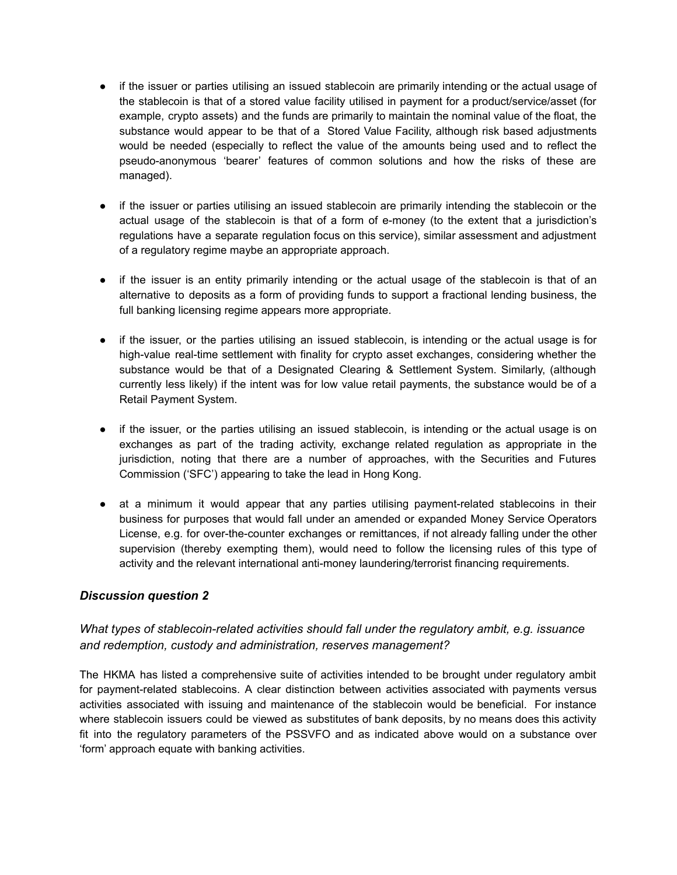- if the issuer or parties utilising an issued stablecoin are primarily intending or the actual usage of the stablecoin is that of a stored value facility utilised in payment for a product/service/asset (for example, crypto assets) and the funds are primarily to maintain the nominal value of the float, the substance would appear to be that of a Stored Value Facility, although risk based adjustments would be needed (especially to reflect the value of the amounts being used and to reflect the pseudo-anonymous 'bearer' features of common solutions and how the risks of these are managed).
- if the issuer or parties utilising an issued stablecoin are primarily intending the stablecoin or the actual usage of the stablecoin is that of a form of e-money (to the extent that a jurisdiction's regulations have a separate regulation focus on this service), similar assessment and adjustment of a regulatory regime maybe an appropriate approach.
- if the issuer is an entity primarily intending or the actual usage of the stablecoin is that of an alternative to deposits as a form of providing funds to support a fractional lending business, the full banking licensing regime appears more appropriate.
- if the issuer, or the parties utilising an issued stablecoin, is intending or the actual usage is for high-value real-time settlement with finality for crypto asset exchanges, considering whether the substance would be that of a Designated Clearing & Settlement System. Similarly, (although currently less likely) if the intent was for low value retail payments, the substance would be of a Retail Payment System.
- if the issuer, or the parties utilising an issued stablecoin, is intending or the actual usage is on exchanges as part of the trading activity, exchange related regulation as appropriate in the jurisdiction, noting that there are a number of approaches, with the Securities and Futures Commission ('SFC') appearing to take the lead in Hong Kong.
- at a minimum it would appear that any parties utilising payment-related stablecoins in their business for purposes that would fall under an amended or expanded Money Service Operators License, e.g. for over-the-counter exchanges or remittances, if not already falling under the other supervision (thereby exempting them), would need to follow the licensing rules of this type of activity and the relevant international anti-money laundering/terrorist financing requirements.

## *Discussion question 2*

## *What types of stablecoin-related activities should fall under the regulatory ambit, e.g. issuance and redemption, custody and administration, reserves management?*

The HKMA has listed a comprehensive suite of activities intended to be brought under regulatory ambit for payment-related stablecoins. A clear distinction between activities associated with payments versus activities associated with issuing and maintenance of the stablecoin would be beneficial. For instance where stablecoin issuers could be viewed as substitutes of bank deposits, by no means does this activity fit into the regulatory parameters of the PSSVFO and as indicated above would on a substance over 'form' approach equate with banking activities.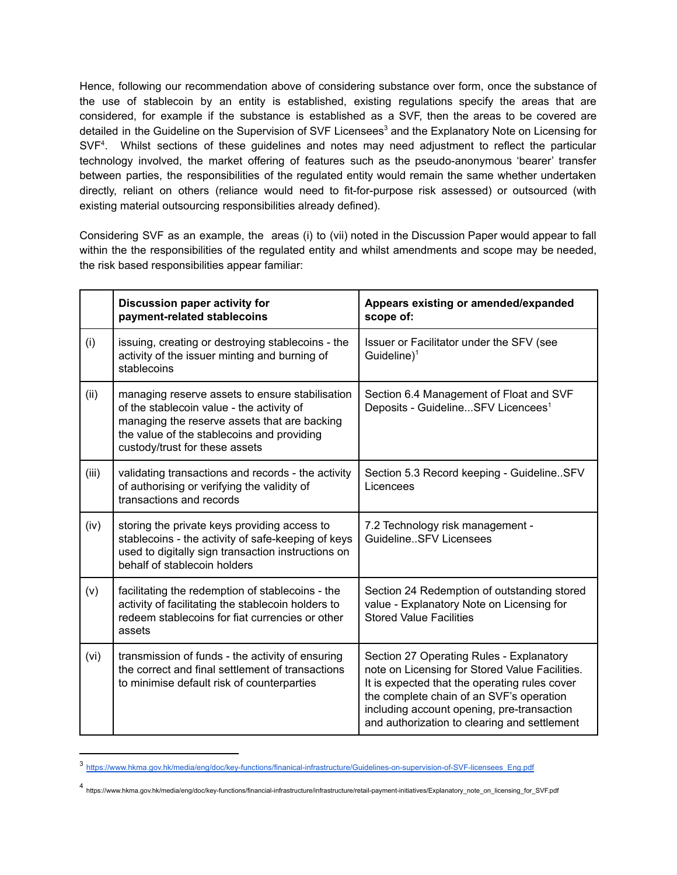Hence, following our recommendation above of considering substance over form, once the substance of the use of stablecoin by an entity is established, existing regulations specify the areas that are considered, for example if the substance is established as a SVF, then the areas to be covered are detailed in the Guideline on the Supervision of SVF Licensees<sup>3</sup> and the Explanatory Note on Licensing for  $SVF<sup>4</sup>$ . Whilst sections of these guidelines and notes may need adjustment to reflect the particular technology involved, the market offering of features such as the pseudo-anonymous 'bearer' transfer between parties, the responsibilities of the regulated entity would remain the same whether undertaken directly, reliant on others (reliance would need to fit-for-purpose risk assessed) or outsourced (with existing material outsourcing responsibilities already defined).

Considering SVF as an example, the areas (i) to (vii) noted in the Discussion Paper would appear to fall within the the responsibilities of the regulated entity and whilst amendments and scope may be needed, the risk based responsibilities appear familiar:

|       | Discussion paper activity for<br>payment-related stablecoins                                                                                                                                                                 | Appears existing or amended/expanded<br>scope of:                                                                                                                                                                                                                                     |
|-------|------------------------------------------------------------------------------------------------------------------------------------------------------------------------------------------------------------------------------|---------------------------------------------------------------------------------------------------------------------------------------------------------------------------------------------------------------------------------------------------------------------------------------|
| (i)   | issuing, creating or destroying stablecoins - the<br>activity of the issuer minting and burning of<br>stablecoins                                                                                                            | Issuer or Facilitator under the SFV (see<br>Guideline $)^1$                                                                                                                                                                                                                           |
| (ii)  | managing reserve assets to ensure stabilisation<br>of the stablecoin value - the activity of<br>managing the reserve assets that are backing<br>the value of the stablecoins and providing<br>custody/trust for these assets | Section 6.4 Management of Float and SVF<br>Deposits - GuidelineSFV Licencees <sup>1</sup>                                                                                                                                                                                             |
| (iii) | validating transactions and records - the activity<br>of authorising or verifying the validity of<br>transactions and records                                                                                                | Section 5.3 Record keeping - GuidelineSFV<br>Licencees                                                                                                                                                                                                                                |
| (iv)  | storing the private keys providing access to<br>stablecoins - the activity of safe-keeping of keys<br>used to digitally sign transaction instructions on<br>behalf of stablecoin holders                                     | 7.2 Technology risk management -<br>GuidelineSFV Licensees                                                                                                                                                                                                                            |
| (v)   | facilitating the redemption of stablecoins - the<br>activity of facilitating the stablecoin holders to<br>redeem stablecoins for fiat currencies or other<br>assets                                                          | Section 24 Redemption of outstanding stored<br>value - Explanatory Note on Licensing for<br><b>Stored Value Facilities</b>                                                                                                                                                            |
| (vi)  | transmission of funds - the activity of ensuring<br>the correct and final settlement of transactions<br>to minimise default risk of counterparties                                                                           | Section 27 Operating Rules - Explanatory<br>note on Licensing for Stored Value Facilities.<br>It is expected that the operating rules cover<br>the complete chain of an SVF's operation<br>including account opening, pre-transaction<br>and authorization to clearing and settlement |

<sup>3&</sup>lt;br>[https://www.hkma.gov.hk/media/eng/doc/key-functions/finanical-infrastructure/Guidelines-on-supervision-of-SVF-licensees\\_Eng.pdf](https://www.hkma.gov.hk/media/eng/doc/key-functions/finanical-infrastructure/Guidelines-on-supervision-of-SVF-licensees_Eng.pdf)

<sup>4&</sup>lt;br>4 https://www.hkma.gov.hk/media/eng/doc/key-functions/financial-infrastructure/infrastructure/retail-payment-initiatives/Explanatory\_note\_on\_licensing\_for\_SVF.pdf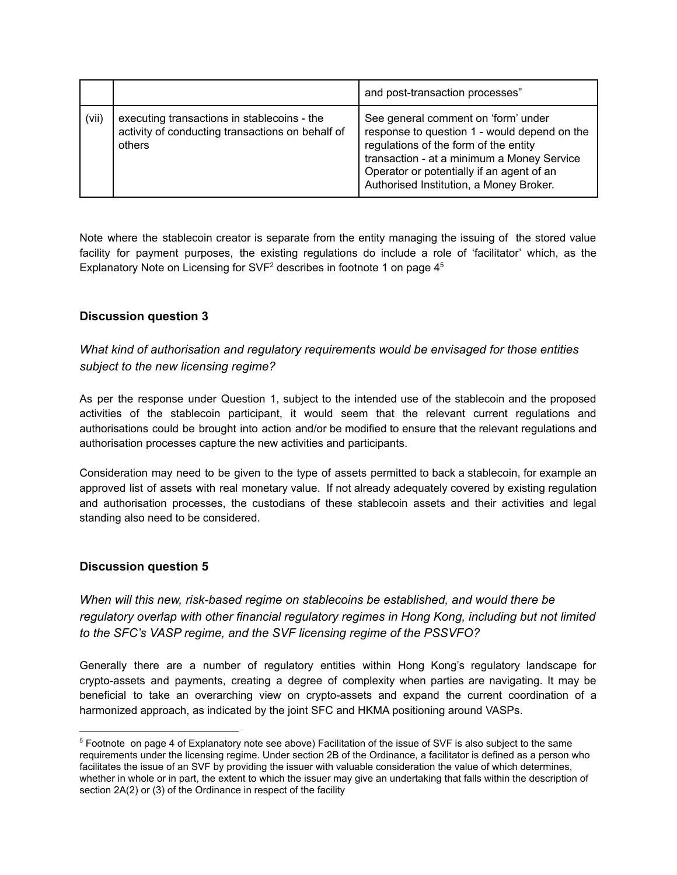|       |                                                                                                           | and post-transaction processes"                                                                                                                                                                                                                                    |
|-------|-----------------------------------------------------------------------------------------------------------|--------------------------------------------------------------------------------------------------------------------------------------------------------------------------------------------------------------------------------------------------------------------|
| (vii) | executing transactions in stablecoins - the<br>activity of conducting transactions on behalf of<br>others | See general comment on 'form' under<br>response to question 1 - would depend on the<br>regulations of the form of the entity<br>transaction - at a minimum a Money Service<br>Operator or potentially if an agent of an<br>Authorised Institution, a Money Broker. |

Note where the stablecoin creator is separate from the entity managing the issuing of the stored value facility for payment purposes, the existing regulations do include a role of 'facilitator' which, as the Explanatory Note on Licensing for SVF<sup>2</sup> describes in footnote 1 on page  $4<sup>5</sup>$ 

## **Discussion question 3**

## *What kind of authorisation and regulatory requirements would be envisaged for those entities subject to the new licensing regime?*

As per the response under Question 1, subject to the intended use of the stablecoin and the proposed activities of the stablecoin participant, it would seem that the relevant current regulations and authorisations could be brought into action and/or be modified to ensure that the relevant regulations and authorisation processes capture the new activities and participants.

Consideration may need to be given to the type of assets permitted to back a stablecoin, for example an approved list of assets with real monetary value. If not already adequately covered by existing regulation and authorisation processes, the custodians of these stablecoin assets and their activities and legal standing also need to be considered.

## **Discussion question 5**

*When will this new, risk-based regime on stablecoins be established, and would there be regulatory overlap with other financial regulatory regimes in Hong Kong, including but not limited to the SFC's VASP regime, and the SVF licensing regime of the PSSVFO?*

Generally there are a number of regulatory entities within Hong Kong's regulatory landscape for crypto-assets and payments, creating a degree of complexity when parties are navigating. It may be beneficial to take an overarching view on crypto-assets and expand the current coordination of a harmonized approach, as indicated by the joint SFC and HKMA positioning around VASPs.

<sup>5</sup> Footnote on page 4 of Explanatory note see above) Facilitation of the issue of SVF is also subject to the same requirements under the licensing regime. Under section 2B of the Ordinance, a facilitator is defined as a person who facilitates the issue of an SVF by providing the issuer with valuable consideration the value of which determines, whether in whole or in part, the extent to which the issuer may give an undertaking that falls within the description of section 2A(2) or (3) of the Ordinance in respect of the facility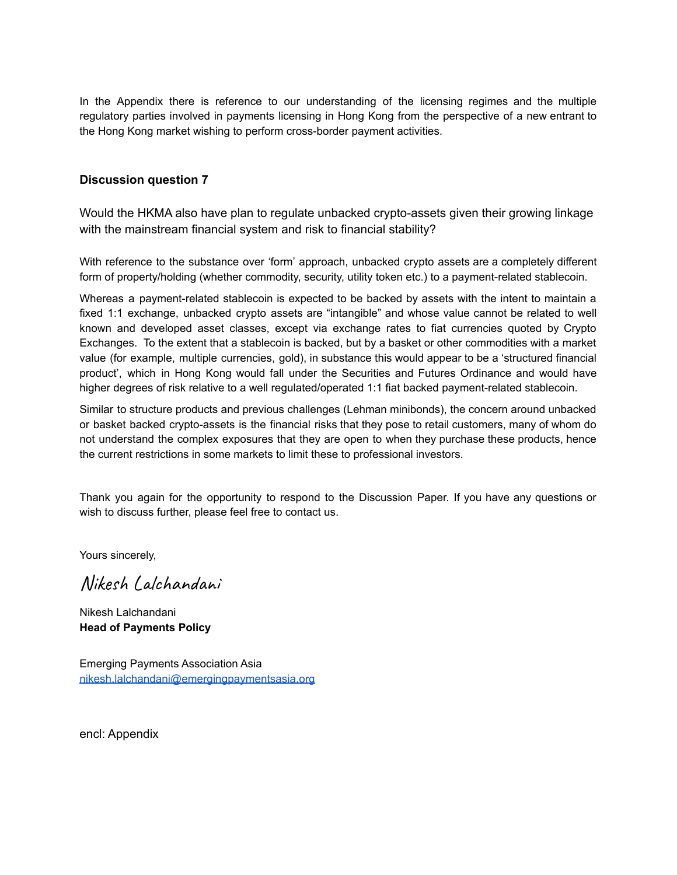In the Appendix there is reference to our understanding of the licensing regimes and the multiple regulatory parties involved in payments licensing in Hong Kong from the perspective of a new entrant to the Hong Kong market wishing to perform cross-border payment activities.

### **Discussion question 7**

Would the HKMA also have plan to regulate unbacked crypto-assets given their growing linkage with the mainstream financial system and risk to financial stability?

With reference to the substance over 'form' approach, unbacked crypto assets are a completely different form of property/holding (whether commodity, security, utility token etc.) to a payment-related stablecoin.

Whereas a payment-related stablecoin is expected to be backed by assets with the intent to maintain a fixed 1:1 exchange, unbacked crypto assets are "intangible" and whose value cannot be related to well known and developed asset classes, except via exchange rates to fiat currencies quoted by Crypto Exchanges. To the extent that a stablecoin is backed, but by a basket or other commodities with a market value (for example, multiple currencies, gold), in substance this would appear to be a 'structured financial product', which in Hong Kong would fall under the Securities and Futures Ordinance and would have higher degrees of risk relative to a well regulated/operated 1:1 fiat backed payment-related stablecoin.

Similar to structure products and previous challenges (Lehman minibonds), the concern around unbacked or basket backed crypto-assets is the financial risks that they pose to retail customers, many of whom do not understand the complex exposures that they are open to when they purchase these products, hence the current restrictions in some markets to limit these to professional investors.

Thank you again for the opportunity to respond to the Discussion Paper. If you have any questions or wish to discuss further, please feel free to contact us.

Yours sincerely,

Nikesh Lalchandani

Nikesh Lalchandani **Head of Payments Policy**

Emerging Payments Association Asia [nikesh.lalchandani@emergingpaymentsasia.org](mailto:nikesh.lalchandani@emergingpaymentsasia.org)

encl: Appendix